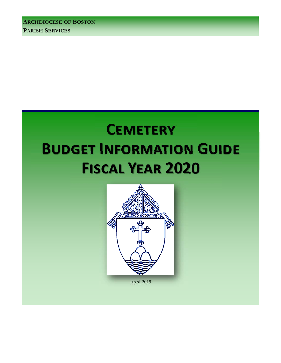**ARCHDIOCESE OF BOSTON PARISH SERVICES** 

# **CEMETERY BUDGET INFORMATION GUIDE FISCAL YEAR 2020**



April 2019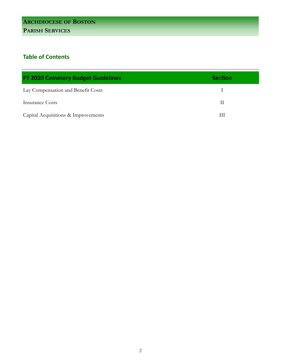# **Table of Contents**

| <b>FY 2020 Cemetery Budget Guidelines</b> | <b>Section</b> |
|-------------------------------------------|----------------|
| Lay Compensation and Benefit Costs        |                |
| Insurance Costs                           |                |
| Capital Acquisitions & Improvements       | Ш              |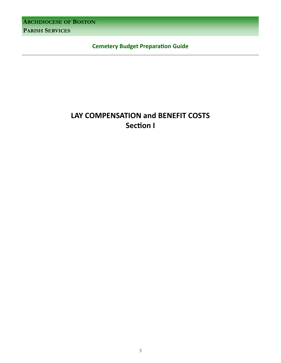**ARCHDIOCESE OF BOSTON**

**PARISH SERVICES**

**Cemetery Budget PreparaƟon Guide** 

# **LAY COMPENSATION and BENEFIT COSTS Section I**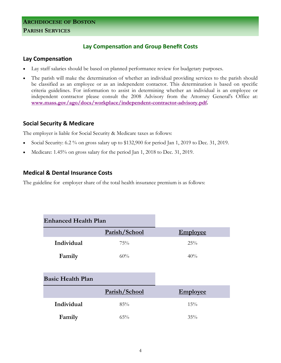# **Lay Compensation and Group Benefit Costs**

#### **Lay CompensaƟon**

- Lay staff salaries should be based on planned performance review for budgetary purposes.
- The parish will make the determination of whether an individual providing services to the parish should be classified as an employee or as an independent contactor. This determination is based on specific criteria guidelines. For information to assist in determining whether an individual is an employee or independent contractor please consult the 2008 Advisory from the Attorney General's Office at: **www.mass.gov/ago/docs/workplace/independent-contractor-advisory.pdf.**

# **Social Security & Medicare**

The employer is liable for Social Security & Medicare taxes as follows:

- Social Security: 6.2 % on gross salary up to \$132,900 for period Jan 1, 2019 to Dec. 31, 2019.
- Medicare: 1.45% on gross salary for the period Jan 1, 2018 to Dec. 31, 2019.

# **Medical & Dental Insurance Costs**

The guideline for employer share of the total health insurance premium is as follows:

| <b>Enhanced Health Plan</b> |               |                 |
|-----------------------------|---------------|-----------------|
|                             | Parish/School | <b>Employee</b> |
| Individual                  | 75%           | 25%             |
| Family                      | 60%           | 40%             |
|                             |               |                 |
| <b>Basic Health Plan</b>    |               |                 |
|                             | Parish/School | <b>Employee</b> |
| Individual                  | 85%           | 15%             |
| Family                      | $65\%$        | 35%             |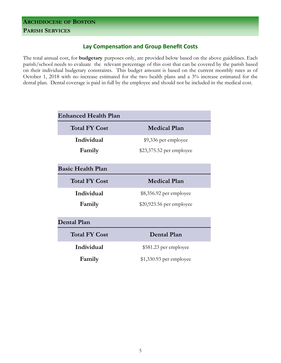# **Lay Compensation and Group Benefit Costs**

The total annual cost, for **budgetary** purposes only, are provided below based on the above guidelines. Each parish/school needs to evaluate the relevant percentage of this cost that can be covered by the parish based on their individual budgetary constraints. This budget amount is based on the current monthly rates as of October 1, 2018 with no increase estimated for the two health plans and a 3% increase estimated for the dental plan. Dental coverage is paid in full by the employee and should not be included in the medical cost.

| <b>Enhanced Health Plan</b> |                           |  |
|-----------------------------|---------------------------|--|
| <b>Total FY Cost</b>        | <b>Medical Plan</b>       |  |
| Individual                  | \$9,336 per employee      |  |
| Family                      | \$23,375.52 per employee  |  |
|                             |                           |  |
| <b>Basic Health Plan</b>    |                           |  |
| <b>Total FY Cost</b>        | <b>Medical Plan</b>       |  |
| Individual                  | \$8,356.92 per employee   |  |
| Family                      | $$20,923.56$ per employee |  |
|                             |                           |  |
| <b>Dental Plan</b>          |                           |  |
| <b>Total FY Cost</b>        | <b>Dental Plan</b>        |  |
| Individual                  | \$581.23 per employee     |  |
| Family                      | $$1,330.93$ per employee  |  |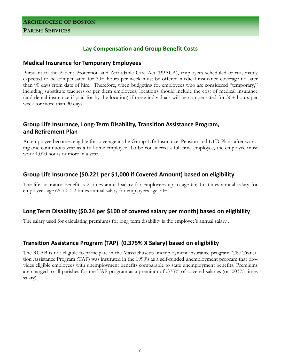# **Lay CompensaƟon and Group Benefit Costs**

#### **Medical Insurance for Temporary Employees**

Pursuant to the Patient Protection and Affordable Care Act (PPACA), employees scheduled or reasonably expected to be compensated for 30+ hours per week must be offered medical insurance coverage no later than 90 days from date of hire. Therefore, when budgeting for employees who are considered "temporary," including substitute teachers or per diem employees, locations should include the cost of medical insurance (and dental insurance if paid for by the location) if these individuals will be compensated for 30+ hours per week for more than 90 days.

# Group Life Insurance, Long-Term Disability, Transition Assistance Program, **and ReƟrement Plan**

An employee becomes eligible for coverage in the Group Life Insurance, Pension and LTD Plans after working one continuous year as a full time employee. To be considered a full time employee, the employee must work 1,000 hours or more in a year.

# **Group Life Insurance (\$0.221 per \$1,000 if Covered Amount) based on eligibility**

The life insurance benefit is 2 times annual salary for employees up to age 65; 1.6 times annual salary for employees age 65-70; 1.2 times annual salary for employees age 70+.

# **Long Term Disability (\$0.24 per \$100 of covered salary per month) based on eligibility**

The salary used for calculating premiums for long term disability is the employee's annual salary .

# **TransiƟon Assistance Program (TAP) (0.375% X Salary) based on eligibility**

The RCAB is not eligible to participate in the Massachusetts unemployment insurance program. The Transition Assistance Program (TAP) was instituted in the 1990's as a self-funded unemployment program that provides eligible employees with unemployment benefits comparable to state unemployment benefits. Premiums are charged to all parishes for the TAP program as a premium of .375% of covered salaries (or .00375 times salary).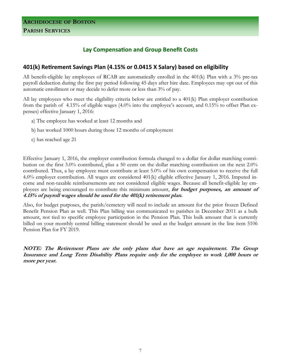# **Lay CompensaƟon and Group Benefit Costs**

# **401(k) ReƟrement Savings Plan (4.15% or 0.0415 X Salary) based on eligibility**

All benefit-eligible lay employees of RCAB are automatically enrolled in the 401(k) Plan with a 3% pre-tax payroll deduction during the first pay period following 45 days after hire date. Employees may opt out of this automatic enrollment or may decide to defer more or less than 3% of pay.

All lay employees who meet the eligibility criteria below are entitled to a 401(k) Plan employer contribution from the parish of 4.15% of eligible wages (4.0% into the employee's account, and 0.15% to offset Plan expenses) effective January 1, 2016:

- a) The employee has worked at least 12 months and
- b) has worked 1000 hours during those 12 months of employment
- c) has reached age 21

Effective January 1, 2016, the employer contribution formula changed to a dollar for dollar matching contribution on the first 3.0% contributed, plus a 50 cents on the dollar matching contribution on the next 2.0% contributed. Thus, a lay employee must contribute at least 5.0% of his own compensation to receive the full 4.0% employer contribution. All wages are considered 401(k) eligible effective January 1, 2016. Imputed income and non-taxable reimbursements are not considered eligible wages. Because all benefit-eligible lay employees are being encouraged to contribute this minimum amount, **for budget purposes, an amount of 4.15% of payroll wages should be used for the 401(k) retirement plan.** 

Also, for budget purposes, the parish/cemetery will need to include an amount for the prior frozen Defined Benefit Pension Plan as well. This Plan billing was communicated to parishes in December 2011 as a bulk amount, not tied to specific employee participation in the Pension Plan. This bulk amount that is currently billed on your monthly central billing statement should be used as the budget amount in the line item 5106 Pension Plan for FY 2019.

**NOTE: The Retirement Plans are the only plans that have an age requirement. The Group Insurance and Long Term Disability Plans require only for the employee to work 1,000 hours or more per year.**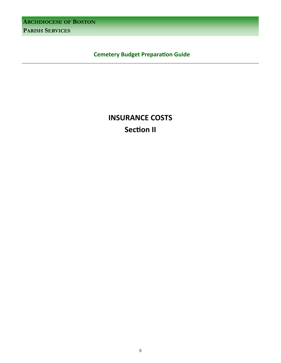**ARCHDIOCESE OF BOSTON**

**PARISH SERVICES**

 **Cemetery Budget Preparation Guide** 

# **INSURANCE COSTS Section II**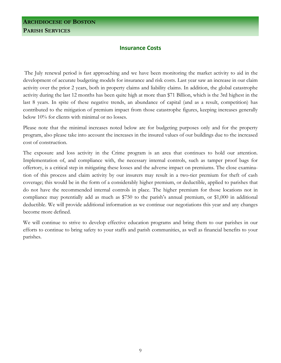#### **Insurance Costs**

 The July renewal period is fast approaching and we have been monitoring the market activity to aid in the development of accurate budgeting models for insurance and risk costs. Last year saw an increase in our claim activity over the prior 2 years, both in property claims and liability claims. In addition, the global catastrophe activity during the last 12 months has been quite high at more than \$71 Billion, which is the 3rd highest in the last 8 years. In spite of these negative trends, an abundance of capital (and as a result, competition) has contributed to the mitigation of premium impact from those catastrophe figures, keeping increases generally below 10% for clients with minimal or no losses.

Please note that the minimal increases noted below are for budgeting purposes only and for the property program, also please take into account the increases in the insured values of our buildings due to the increased cost of construction.

The exposure and loss activity in the Crime program is an area that continues to hold our attention. Implementation of, and compliance with, the necessary internal controls, such as tamper proof bags for offertory, is a critical step in mitigating these losses and the adverse impact on premiums. The close examination of this process and claim activity by our insurers may result in a two-tier premium for theft of cash coverage; this would be in the form of a considerably higher premium, or deductible, applied to parishes that do not have the recommended internal controls in place. The higher premium for those locations not in compliance may potentially add as much as \$750 to the parish's annual premium, or \$1,000 in additional deductible. We will provide additional information as we continue our negotiations this year and any changes become more defined.

We will continue to strive to develop effective education programs and bring them to our parishes in our efforts to continue to bring safety to your staffs and parish communities, as well as financial benefits to your parishes.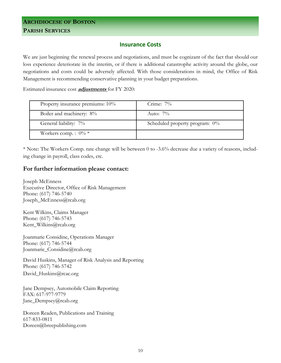#### **Insurance Costs**

We are just beginning the renewal process and negotiations, and must be cognizant of the fact that should our loss experience deteriorate in the interim, or if there is additional catastrophe activity around the globe, our negotiations and costs could be adversely affected. With those considerations in mind, the Office of Risk Management is recommending conservative planning in your budget preparations.

Estimated insurance cost **adjustments** for FY 2020:

| Property insurance premiums: 10% | Crime: $7\%$                      |
|----------------------------------|-----------------------------------|
| Boiler and machinery: 8%         | Auto: $7\%$                       |
| General liability: 7%            | Scheduled property program: $0\%$ |
| Workers comp. : $0\% *$          |                                   |

\* Note: The Workers Comp. rate change will be between 0 to -3.6% decrease due a variety of reasons, including change in payroll, class codes, etc.

#### **For further information please contact:**

Joseph McEnness Executive Director, Office of Risk Management Phone: (617) 746-5740 Joseph\_McEnness@rcab.org

Kent Wilkins, Claims Manager Phone: (617) 746-5743 Kent\_Wilkins@rcab.org

Joanmarie Considine, Operations Manager Phone: (617) 746-5744 Joanmarie\_Considine@rcab.org

David Huskins, Manager of Risk Analysis and Reporting Phone: (617) 746-5742 David\_Huskins@rcac.org

Jane Dempsey, Automobile Claim Reporting FAX: 617-977-9779 Jane\_Dempsey@rcab.org

Doreen Readen, Publications and Training 617-833-0811 Doreen@breepublishing.com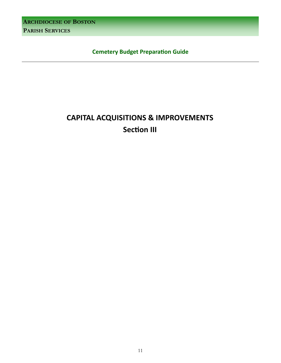**ARCHDIOCESE OF BOSTON** 

**PARISH SERVICES** 

**Cemetery Budget Preparation Guide** 

# **CAPITAL ACQUISITIONS & IMPROVEMENTS Section III**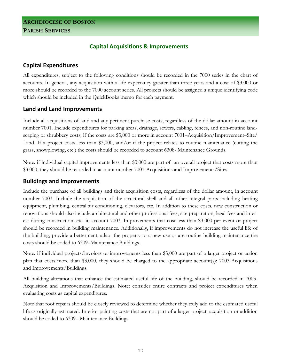# **Capital Acquisitions & Improvements**

# **Capital Expenditures**

All expenditures, subject to the following conditions should be recorded in the 7000 series in the chart of accounts. In general, any acquisition with a life expectancy greater than three years and a cost of \$3,000 or more should be recorded to the 7000 account series. All projects should be assigned a unique identifying code which should be included in the QuickBooks memo for each payment.

# **Land and Land Improvements**

Include all acquisitions of land and any pertinent purchase costs, regardless of the dollar amount in account number 7001. Include expenditures for parking areas, drainage, sewers, cabling, fences, and non-routine landscaping or shrubbery costs, if the costs are \$3,000 or more in account 7001–Acquisition/Improvement–Site/ Land. If a project costs less than \$3,000, and/or if the project relates to routine maintenance (cutting the grass, snowplowing, etc.) the costs should be recorded to account 6308- Maintenance Grounds.

Note: if individual capital improvements less than \$3,000 are part of an overall project that costs more than \$3,000, they should be recorded in account number 7001-Acquisitions and Improvements/Sites.

# **Buildings and Improvements**

Include the purchase of all buildings and their acquisition costs, regardless of the dollar amount, in account number 7003. Include the acquisition of the structural shell and all other integral parts including heating equipment, plumbing, central air conditioning, elevators, etc. In addition to these costs, new construction or renovations should also include architectural and other professional fees, site preparation, legal fees and interest during construction, etc. in account 7003. Improvements that cost less than \$3,000 per event or project should be recorded in building maintenance. Additionally, if improvements do not increase the useful life of the building, provide a betterment, adapt the property to a new use or are routine building maintenance the costs should be coded to 6309–Maintenance Buildings.

Note: if individual projects/invoices or improvements less than \$3,000 are part of a larger project or action plan that costs more than \$3,000, they should be charged to the appropriate account(s): 7003-Acquisitions and Improvements/Buildings.

All building alterations that enhance the estimated useful life of the building, should be recorded in 7003- Acquisition and Improvements/Buildings. Note: consider entire contracts and project expenditures when evaluating costs as capital expenditures.

Note that roof repairs should be closely reviewed to determine whether they truly add to the estimated useful life as originally estimated. Interior painting costs that are not part of a larger project, acquisition or addition should be coded to 6309– Maintenance Buildings.